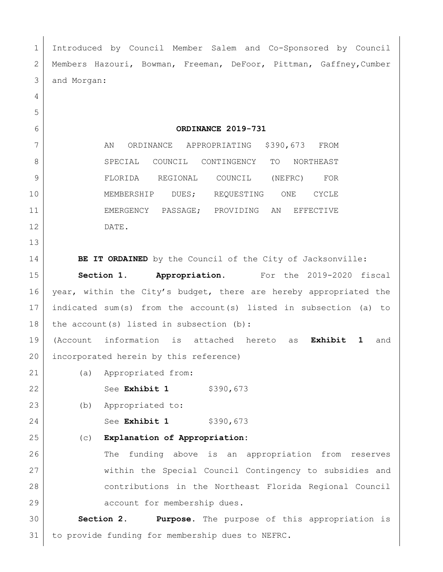Introduced by Council Member Salem and Co-Sponsored by Council Members Hazouri, Bowman, Freeman, DeFoor, Pittman, Gaffney,Cumber and Morgan: **ORDINANCE 2019-731** 7 AN ORDINANCE APPROPRIATING \$390,673 FROM 8 SPECIAL COUNCIL CONTINGENCY TO NORTHEAST FLORIDA REGIONAL COUNCIL (NEFRC) FOR MEMBERSHIP DUES; REQUESTING ONE CYCLE EMERGENCY PASSAGE; PROVIDING AN EFFECTIVE DATE. **BE IT ORDAINED** by the Council of the City of Jacksonville: **Section 1. Appropriation.** For the 2019-2020 fiscal 16 year, within the City's budget, there are hereby appropriated the indicated sum(s) from the account(s) listed in subsection (a) to 18 the account(s) listed in subsection (b): (Account information is attached hereto as **Exhibit 1** and incorporated herein by this reference) (a) Appropriated from: 22 See **Exhibit 1** \$390,673 (b) Appropriated to: 24 See **Exhibit 1** \$390,673 (c) **Explanation of Appropriation:** The funding above is an appropriation from reserves within the Special Council Contingency to subsidies and contributions in the Northeast Florida Regional Council 29 account for membership dues. **Section 2. Purpose.** The purpose of this appropriation is to provide funding for membership dues to NEFRC.